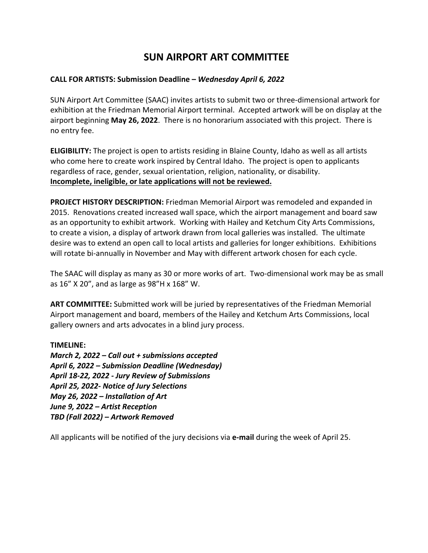# **SUN AIRPORT ART COMMITTEE**

# **CALL FOR ARTISTS: Submission Deadline –** *Wednesday April 6, 2022*

SUN Airport Art Committee (SAAC) invites artists to submit two or three-dimensional artwork for exhibition at the Friedman Memorial Airport terminal. Accepted artwork will be on display at the airport beginning **May 26, 2022**. There is no honorarium associated with this project. There is no entry fee.

**ELIGIBILITY:** The project is open to artists residing in Blaine County, Idaho as well as all artists who come here to create work inspired by Central Idaho. The project is open to applicants regardless of race, gender, sexual orientation, religion, nationality, or disability. **Incomplete, ineligible, or late applications will not be reviewed.**

**PROJECT HISTORY DESCRIPTION:** Friedman Memorial Airport was remodeled and expanded in 2015. Renovations created increased wall space, which the airport management and board saw as an opportunity to exhibit artwork. Working with Hailey and Ketchum City Arts Commissions, to create a vision, a display of artwork drawn from local galleries was installed. The ultimate desire was to extend an open call to local artists and galleries for longer exhibitions. Exhibitions will rotate bi-annually in November and May with different artwork chosen for each cycle.

The SAAC will display as many as 30 or more works of art. Two-dimensional work may be as small as 16" X 20", and as large as 98"H x 168" W.

**ART COMMITTEE:** Submitted work will be juried by representatives of the Friedman Memorial Airport management and board, members of the Hailey and Ketchum Arts Commissions, local gallery owners and arts advocates in a blind jury process.

#### **TIMELINE:**

*March 2, 2022 – Call out + submissions accepted April 6, 2022 – Submission Deadline (Wednesday) April 18-22, 2022 - Jury Review of Submissions April 25, 2022- Notice of Jury Selections May 26, 2022 – Installation of Art June 9, 2022 – Artist Reception TBD (Fall 2022) – Artwork Removed*

All applicants will be notified of the jury decisions via **e-mail** during the week of April 25.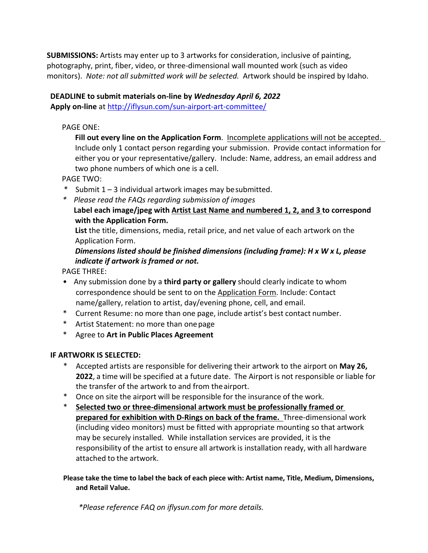**SUBMISSIONS:** Artists may enter up to 3 artworks for consideration, inclusive of painting, photography, print, fiber, video, or three-dimensional wall mounted work (such as video monitors). *Note: not all submitted work will be selected.* Artwork should be inspired by Idaho.

# **DEADLINE to submit materials on-line by** *Wednesday April 6, 2022*

**Apply on-line** at http://iflysun.com/sun-airport-art-committee/

# PAGE ONE:

**Fill out every line on the Application Form**. Incomplete applications will not be accepted. Include only 1 contact person regarding your submission. Provide contact information for either you or your representative/gallery. Include: Name, address, an email address and two phone numbers of which one is a cell.

PAGE TWO:

- \* Submit  $1 3$  individual artwork images may be submitted.
- *\* Please read the FAQs regarding submission of images*

**Label each image/jpeg with Artist Last Name and numbered 1, 2, and 3 to correspond with the Application Form.**

**List** the title, dimensions, media, retail price, and net value of each artwork on the Application Form.

*Dimensions listed should be finished dimensions (including frame): H x W x L, please indicate if artwork is framed or not.*

PAGE THREE:

- Any submission done by a **third party or gallery** should clearly indicate to whom correspondence should be sent to on the Application Form. Include: Contact name/gallery, relation to artist, day/evening phone, cell, and email.
- \* Current Resume: no more than one page, include artist's best contact number.
- \* Artist Statement: no more than onepage
- \* Agree to **Art in Public Places Agreement**

# **IF ARTWORK IS SELECTED:**

- \* Accepted artists are responsible for delivering their artwork to the airport on **May 26, 2022**, a time will be specified at a future date. The Airport is not responsible or liable for the transfer of the artwork to and from the airport.
- \* Once on site the airport will be responsible for the insurance of the work.
- \* **Selected two or three-dimensional artwork must be professionally framed or prepared for exhibition with D-Rings on back of the frame.** Three-dimensional work (including video monitors) must be fitted with appropriate mounting so that artwork may be securely installed. While installation services are provided, it is the responsibility of the artist to ensure all artwork is installation ready, with all hardware attached to the artwork.

### **Please take the time to label the back of each piece with: Artist name, Title, Medium, Dimensions, and Retail Value.**

*\*Please reference FAQ on iflysun.com for more details.*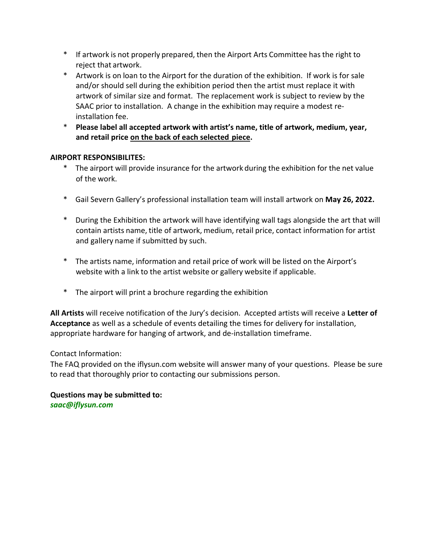- \* If artwork is not properly prepared, then the Airport Arts Committee has the right to reject that artwork.
- \* Artwork is on loan to the Airport for the duration of the exhibition. If work is for sale and/or should sell during the exhibition period then the artist must replace it with artwork of similar size and format. The replacement work is subject to review by the SAAC prior to installation. A change in the exhibition may require a modest reinstallation fee.
- \* **Please label all accepted artwork with artist's name, title of artwork, medium, year, and retail price on the back of each selected piece.**

# **AIRPORT RESPONSIBILITES:**

- \* The airport will provide insurance for the artwork during the exhibition for the net value of the work.
- \* Gail Severn Gallery's professional installation team will install artwork on **May 26, 2022.**
- \* During the Exhibition the artwork will have identifying wall tags alongside the art that will contain artists name, title of artwork, medium, retail price, contact information for artist and gallery name if submitted by such.
- \* The artists name, information and retail price of work will be listed on the Airport's website with a link to the artist website or gallery website if applicable.
- \* The airport will print a brochure regarding the exhibition

**All Artists** will receive notification of the Jury's decision. Accepted artists will receive a **Letter of Acceptance** as well as a schedule of events detailing the times for delivery for installation, appropriate hardware for hanging of artwork, and de-installation timeframe.

#### Contact Information:

The FAQ provided on the iflysun.com website will answer many of your questions. Please be sure to read that thoroughly prior to contacting our submissions person.

**Questions may be submitted to:** *saac@iflysun.com*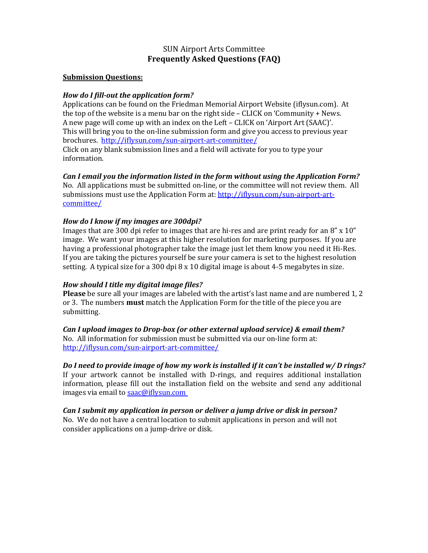# SUN Airport Arts Committee **Frequently Asked Questions (FAQ)**

#### **Submission Ouestions:**

#### *How do I fill-out the application form?*

Applications can be found on the Friedman Memorial Airport Website (iflysun.com). At the top of the website is a menu bar on the right side – CLICK on 'Community  $+$  News. A new page will come up with an index on the Left – CLICK on 'Airport Art (SAAC)'. This will bring you to the on-line submission form and give you access to previous year brochures. http://iflysun.com/sun-airport-art-committee/ Click on any blank submission lines and a field will activate for you to type your information. 

#### *Can I* email you the information listed in the form without using the Application Form?

No. All applications must be submitted on-line, or the committee will not review them. All submissions must use the Application Form at: http://iflysun.com/sun-airport-artcommittee/

#### *How do I know if my images are 300dpi?*

Images that are 300 dpi refer to images that are hi-res and are print ready for an  $8''$  x 10" image. We want your images at this higher resolution for marketing purposes. If you are having a professional photographer take the image just let them know you need it Hi-Res. If you are taking the pictures yourself be sure your camera is set to the highest resolution setting. A typical size for a 300 dpi  $8 \times 10$  digital image is about 4-5 megabytes in size.

#### *How should I title my digital image files?*

**Please** be sure all your images are labeled with the artist's last name and are numbered 1, 2 or 3. The numbers **must** match the Application Form for the title of the piece you are submitting.

#### *Can I upload images to Drop-box (or other external upload service) & email them?*

No. All information for submission must be submitted via our on-line form at: http://iflysun.com/sun-airport-art-committee/

# *Do I* need to provide image of how my work is installed if it can't be installed w/ D rings?

If your artwork cannot be installed with D-rings, and requires additional installation information, please fill out the installation field on the website and send any additional images via email to saac@iflysun.com

#### Can I submit my application in person or deliver a jump drive or disk in person? No. We do not have a central location to submit applications in person and will not consider applications on a jump-drive or disk.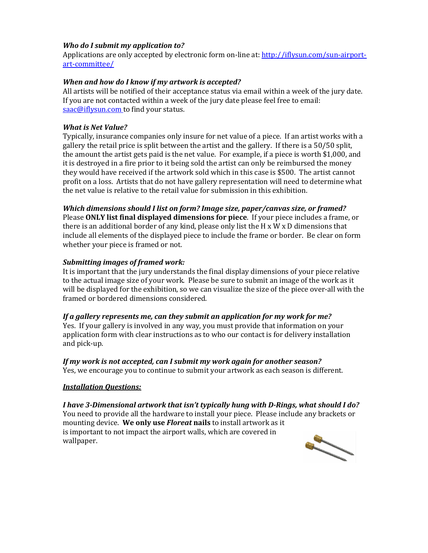#### *Who do I submit my application to?*

Applications are only accepted by electronic form on-line at: http://iflysun.com/sun-airportart-committee/

#### **When and how do I know if my artwork is accepted?**

All artists will be notified of their acceptance status via email within a week of the jury date. If you are not contacted within a week of the jury date please feel free to email: saac@iflysun.com to find your status.

#### *What is Net Value?*

Typically, insurance companies only insure for net value of a piece. If an artist works with a gallery the retail price is split between the artist and the gallery. If there is a  $50/50$  split, the amount the artist gets paid is the net value. For example, if a piece is worth \$1,000, and it is destroyed in a fire prior to it being sold the artist can only be reimbursed the money they would have received if the artwork sold which in this case is \$500. The artist cannot profit on a loss. Artists that do not have gallery representation will need to determine what the net value is relative to the retail value for submission in this exhibition.

#### *Which dimensions should I list on form? Image size, paper/canvas size, or framed?*

Please **ONLY list final displayed dimensions for piece**. If your piece includes a frame, or there is an additional border of any kind, please only list the H x W x D dimensions that include all elements of the displayed piece to include the frame or border. Be clear on form whether your piece is framed or not.

#### **Submitting images of framed work:**

It is important that the jury understands the final display dimensions of your piece relative to the actual image size of your work. Please be sure to submit an image of the work as it will be displayed for the exhibition, so we can visualize the size of the piece over-all with the framed or bordered dimensions considered.

#### *If* a gallery represents me, can they submit an application for my work for me?

Yes. If your gallery is involved in any way, you must provide that information on your application form with clear instructions as to who our contact is for delivery installation and pick-up.

#### *If* my work is not accepted, can I submit my work again for another season? Yes, we encourage you to continue to submit your artwork as each season is different.

#### *Installation Questions:*

I have 3-Dimensional artwork that isn't typically hung with D-Rings, what should I do? You need to provide all the hardware to install your piece. Please include any brackets or mounting device. We only use *Floreat* nails to install artwork as it is important to not impact the airport walls, which are covered in wallpaper.

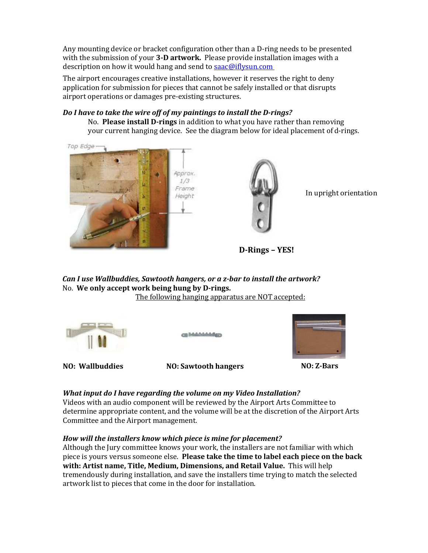Any mounting device or bracket configuration other than a D-ring needs to be presented with the submission of your 3-D artwork. Please provide installation images with a description on how it would hang and send to saac@iflysun.com

The airport encourages creative installations, however it reserves the right to deny application for submission for pieces that cannot be safely installed or that disrupts airport operations or damages pre-existing structures.

#### Do I have to take the wire off of my paintings to install the D-rings?

No. Please install D-rings in addition to what you have rather than removing your current hanging device. See the diagram below for ideal placement of d-rings.

Top Edge





In upright orientation

**D-Rings – YES!**

*Can I* use Wallbuddies, Sawtooth hangers, or a z-bar to install the artwork? No. We only accept work being hung by D-rings.

The following hanging apparatus are NOT accepted:





**NO: Wallbuddies NO: Sawtooth hangers NO: Z-Bars**

#### *What input do I have regarding the volume on my Video Installation?*

Videos with an audio component will be reviewed by the Airport Arts Committee to determine appropriate content, and the volume will be at the discretion of the Airport Arts Committee and the Airport management.

#### How will the installers know which piece is mine for placement?

Although the Jury committee knows your work, the installers are not familiar with which piece is yours versus someone else. Please take the time to label each piece on the back **with: Artist name, Title, Medium, Dimensions, and Retail Value.** This will help tremendously during installation, and save the installers time trying to match the selected artwork list to pieces that come in the door for installation.